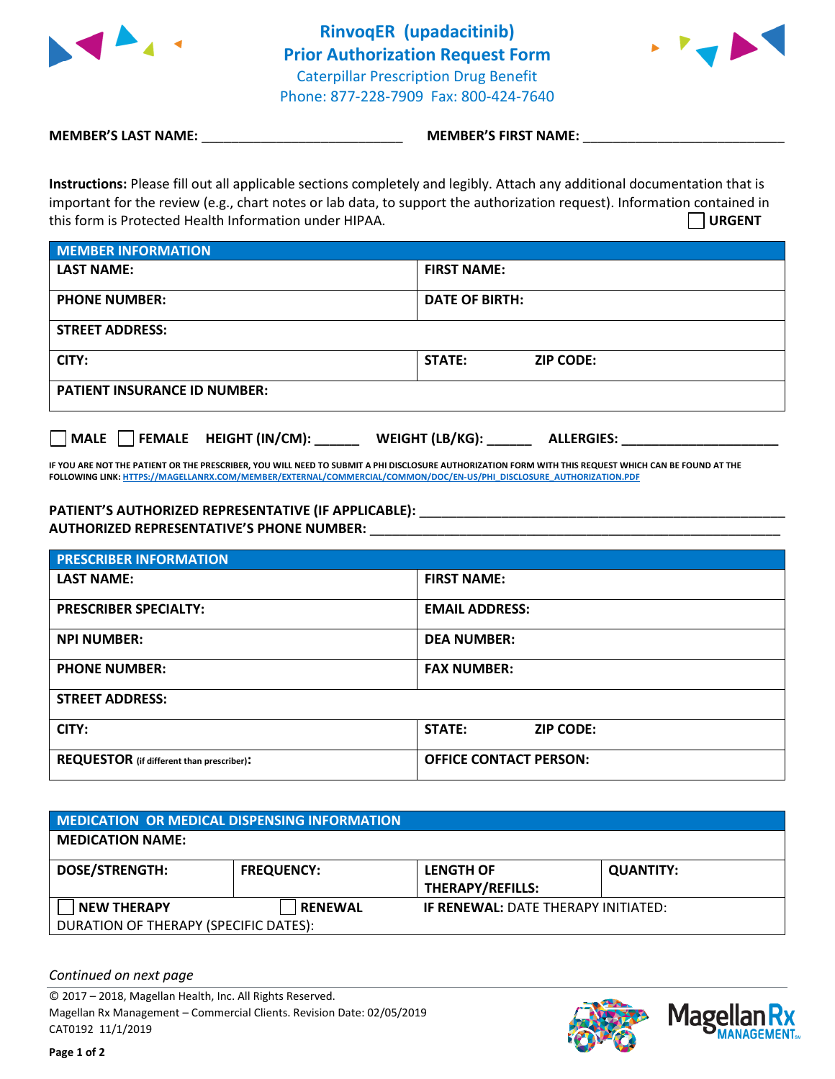



**MEMBER'S LAST NAME:**  $\blacksquare$  **MEMBER'S FIRST NAME:**  $\blacksquare$ 

**Instructions:** Please fill out all applicable sections completely and legibly. Attach any additional documentation that is important for the review (e.g., chart notes or lab data, to support the authorization request). Information contained in this form is Protected Health Information under HIPAA. **URGENT**

| <b>MEMBER INFORMATION</b>           |                            |  |  |
|-------------------------------------|----------------------------|--|--|
| <b>LAST NAME:</b>                   | <b>FIRST NAME:</b>         |  |  |
| <b>PHONE NUMBER:</b>                | <b>DATE OF BIRTH:</b>      |  |  |
| <b>STREET ADDRESS:</b>              |                            |  |  |
| CITY:                               | STATE:<br><b>ZIP CODE:</b> |  |  |
| <b>PATIENT INSURANCE ID NUMBER:</b> |                            |  |  |

**MALE FEMALE HEIGHT (IN/CM): \_\_\_\_\_\_ WEIGHT (LB/KG): \_\_\_\_\_\_ ALLERGIES: \_\_\_\_\_\_\_\_\_\_\_\_\_\_\_\_\_\_\_\_\_**

**IF YOU ARE NOT THE PATIENT OR THE PRESCRIBER, YOU WILL NEED TO SUBMIT A PHI DISCLOSURE AUTHORIZATION FORM WITH THIS REQUEST WHICH CAN BE FOUND AT THE FOLLOWING LINK[: HTTPS://MAGELLANRX.COM/MEMBER/EXTERNAL/COMMERCIAL/COMMON/DOC/EN-US/PHI\\_DISCLOSURE\\_AUTHORIZATION.PDF](https://magellanrx.com/member/external/commercial/common/doc/en-us/PHI_Disclosure_Authorization.pdf)**

## **PATIENT'S AUTHORIZED REPRESENTATIVE (IF APPLICABLE):** \_\_\_\_\_\_\_\_\_\_\_\_\_\_\_\_\_\_\_\_\_\_\_\_\_\_\_\_\_\_\_\_\_\_\_\_\_\_\_\_\_\_\_\_\_\_\_\_\_ **AUTHORIZED REPRESENTATIVE'S PHONE NUMBER:** \_\_\_\_\_\_\_\_\_\_\_\_\_\_\_\_\_\_\_\_\_\_\_\_\_\_\_\_\_\_\_\_\_\_\_\_\_\_\_\_\_\_\_\_\_\_\_\_\_\_\_\_\_\_\_

| <b>PRESCRIBER INFORMATION</b>                    |                                   |  |  |  |
|--------------------------------------------------|-----------------------------------|--|--|--|
| <b>LAST NAME:</b>                                | <b>FIRST NAME:</b>                |  |  |  |
| <b>PRESCRIBER SPECIALTY:</b>                     | <b>EMAIL ADDRESS:</b>             |  |  |  |
| <b>NPI NUMBER:</b>                               | <b>DEA NUMBER:</b>                |  |  |  |
| <b>PHONE NUMBER:</b>                             | <b>FAX NUMBER:</b>                |  |  |  |
| <b>STREET ADDRESS:</b>                           |                                   |  |  |  |
| CITY:                                            | <b>STATE:</b><br><b>ZIP CODE:</b> |  |  |  |
| <b>REQUESTOR</b> (if different than prescriber): | <b>OFFICE CONTACT PERSON:</b>     |  |  |  |

| MEDICATION OR MEDICAL DISPENSING INFORMATION                |                   |                                             |                  |  |  |
|-------------------------------------------------------------|-------------------|---------------------------------------------|------------------|--|--|
| <b>MEDICATION NAME:</b>                                     |                   |                                             |                  |  |  |
| <b>DOSE/STRENGTH:</b>                                       | <b>FREQUENCY:</b> | <b>LENGTH OF</b><br><b>THERAPY/REFILLS:</b> | <b>QUANTITY:</b> |  |  |
| <b>NEW THERAPY</b><br>DURATION OF THERAPY (SPECIFIC DATES): | <b>RENEWAL</b>    | <b>IF RENEWAL: DATE THERAPY INITIATED:</b>  |                  |  |  |

*Continued on next page*

© 2017 – 2018, Magellan Health, Inc. All Rights Reserved. Magellan Rx Management – Commercial Clients. Revision Date: 02/05/2019 CAT0192 11/1/2019